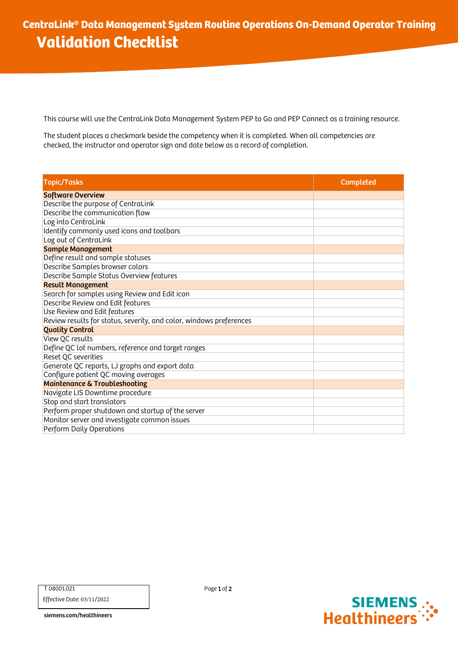This course will use the CentraLink Data Management System PEP to Go and PEP Connect as a training resource.

The student places a checkmark beside the competency when it is completed. When all competencies are checked, the instructor and operator sign and date below as a record of completion.

| <b>Topic/Tasks</b>                                                  | Completed |
|---------------------------------------------------------------------|-----------|
| <b>Software Overview</b>                                            |           |
| Describe the purpose of CentraLink                                  |           |
| Describe the communication flow                                     |           |
| Log into CentraLink                                                 |           |
| Identify commonly used icons and toolbars                           |           |
| Log out of CentraLink                                               |           |
| <b>Sample Management</b>                                            |           |
| Define result and sample statuses                                   |           |
| Describe Samples browser colors                                     |           |
| Describe Sample Status Overview features                            |           |
| <b>Result Management</b>                                            |           |
| Search for samples using Review and Edit icon                       |           |
| Describe Review and Edit features                                   |           |
| Use Review and Edit features                                        |           |
| Review results for status, severity, and color, windows preferences |           |
| <b>Quality Control</b>                                              |           |
| View QC results                                                     |           |
| Define QC lot numbers, reference and target ranges                  |           |
| Reset QC severities                                                 |           |
| Generate QC reports, LJ graphs and export data                      |           |
| Configure patient QC moving averages                                |           |
| <b>Maintenance &amp; Troubleshooting</b>                            |           |
| Navigate LIS Downtime procedure                                     |           |
| Stop and start translators                                          |           |
| Perform proper shutdown and startup of the server                   |           |
| Monitor server and investigate common issues                        |           |
| Perform Daily Operations                                            |           |

T 08001.021

Effective Date: 03/11/2022

siemens.com/healthineers

Page 1 of 2